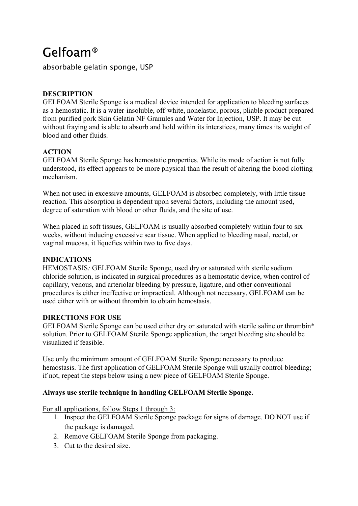# Gelfoam®

absorbable gelatin sponge, USP

# **DESCRIPTION**

GELFOAM Sterile Sponge is a medical device intended for application to bleeding surfaces as a hemostatic. It is a water-insoluble, off-white, nonelastic, porous, pliable product prepared from purified pork Skin Gelatin NF Granules and Water for Injection, USP. It may be cut without fraying and is able to absorb and hold within its interstices, many times its weight of blood and other fluids.

# **ACTION**

GELFOAM Sterile Sponge has hemostatic properties. While its mode of action is not fully understood, its effect appears to be more physical than the result of altering the blood clotting mechanism.

When not used in excessive amounts, GELFOAM is absorbed completely, with little tissue reaction. This absorption is dependent upon several factors, including the amount used, degree of saturation with blood or other fluids, and the site of use.

When placed in soft tissues, GELFOAM is usually absorbed completely within four to six weeks, without inducing excessive scar tissue. When applied to bleeding nasal, rectal, or vaginal mucosa, it liquefies within two to five days.

## **INDICATIONS**

HEMOSTASIS*:* GELFOAM Sterile Sponge, used dry or saturated with sterile sodium chloride solution, is indicated in surgical procedures as a hemostatic device, when control of capillary, venous, and arteriolar bleeding by pressure, ligature, and other conventional procedures is either ineffective or impractical. Although not necessary, GELFOAM can be used either with or without thrombin to obtain hemostasis.

## **DIRECTIONS FOR USE**

GELFOAM Sterile Sponge can be used either dry or saturated with sterile saline or thrombin\* solution. Prior to GELFOAM Sterile Sponge application, the target bleeding site should be visualized if feasible.

Use only the minimum amount of GELFOAM Sterile Sponge necessary to produce hemostasis. The first application of GELFOAM Sterile Sponge will usually control bleeding; if not, repeat the steps below using a new piece of GELFOAM Sterile Sponge.

## **Always use sterile technique in handling GELFOAM Sterile Sponge.**

For all applications, follow Steps 1 through 3:

- 1. Inspect the GELFOAM Sterile Sponge package for signs of damage. DO NOT use if the package is damaged.
- 2. Remove GELFOAM Sterile Sponge from packaging.
- 3. Cut to the desired size.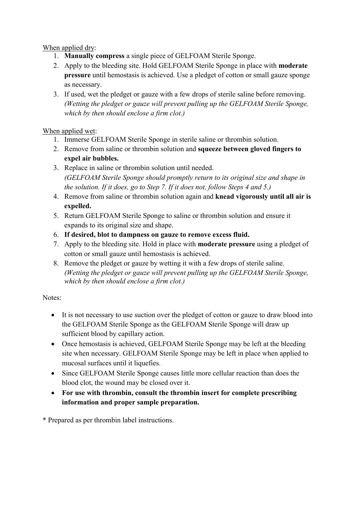When applied dry:

- 1. **Manually compress** a single piece of GELFOAM Sterile Sponge.
- 2. Apply to the bleeding site. Hold GELFOAM Sterile Sponge in place with **moderate pressure** until hemostasis is achieved. Use a pledget of cotton or small gauze sponge as necessary.
- 3. If used, wet the pledget or gauze with a few drops of sterile saline before removing. *(Wetting the pledget or gauze will prevent pulling up the GELFOAM Sterile Sponge, which by then should enclose a firm clot.)*

# When applied wet:

- 1. Immerse GELFOAM Sterile Sponge in sterile saline or thrombin solution.
- 2. Remove from saline or thrombin solution and **squeeze between gloved fingers to expel air bubbles.**
- 3. Replace in saline or thrombin solution until needed. *(GELFOAM Sterile Sponge should promptly return to its original size and shape in the solution. If it does, go to Step 7. If it does not, follow Steps 4 and 5.)*
- 4. Remove from saline or thrombin solution again and **knead vigorously until all air is expelled.**
- 5. Return GELFOAM Sterile Sponge to saline or thrombin solution and ensure it expands to its original size and shape.
- 6. **If desired, blot to dampness on gauze to remove excess fluid.**
- 7. Apply to the bleeding site. Hold in place with **moderate pressure** using a pledget of cotton or small gauze until hemostasis is achieved.
- 8. Remove the pledget or gauze by wetting it with a few drops of sterile saline. *(Wetting the pledget or gauze will prevent pulling up the GELFOAM Sterile Sponge, which by then should enclose a firm clot.)*

# Notes:

- It is not necessary to use suction over the pledget of cotton or gauze to draw blood into the GELFOAM Sterile Sponge as the GELFOAM Sterile Sponge will draw up sufficient blood by capillary action.
- Once hemostasis is achieved, GELFOAM Sterile Sponge may be left at the bleeding site when necessary. GELFOAM Sterile Sponge may be left in place when applied to mucosal surfaces until it liquefies.
- Since GELFOAM Sterile Sponge causes little more cellular reaction than does the blood clot, the wound may be closed over it.
- **For use with thrombin, consult the thrombin insert for complete prescribing information and proper sample preparation.**

\* Prepared as per thrombin label instructions.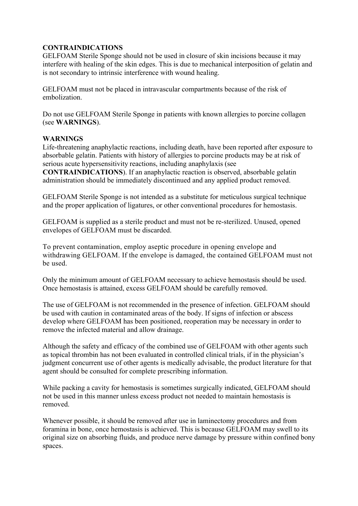### **CONTRAINDICATIONS**

GELFOAM Sterile Sponge should not be used in closure of skin incisions because it may interfere with healing of the skin edges. This is due to mechanical interposition of gelatin and is not secondary to intrinsic interference with wound healing.

GELFOAM must not be placed in intravascular compartments because of the risk of embolization.

Do not use GELFOAM Sterile Sponge in patients with known allergies to porcine collagen (see **WARNINGS**).

#### **WARNINGS**

Life-threatening anaphylactic reactions, including death, have been reported after exposure to absorbable gelatin. Patients with history of allergies to porcine products may be at risk of serious acute hypersensitivity reactions, including anaphylaxis (see

**CONTRAINDICATIONS**). If an anaphylactic reaction is observed, absorbable gelatin administration should be immediately discontinued and any applied product removed.

GELFOAM Sterile Sponge is not intended as a substitute for meticulous surgical technique and the proper application of ligatures, or other conventional procedures for hemostasis.

GELFOAM is supplied as a sterile product and must not be re-sterilized. Unused, opened envelopes of GELFOAM must be discarded.

To prevent contamination, employ aseptic procedure in opening envelope and withdrawing GELFOAM. If the envelope is damaged, the contained GELFOAM must not be used.

Only the minimum amount of GELFOAM necessary to achieve hemostasis should be used. Once hemostasis is attained, excess GELFOAM should be carefully removed.

The use of GELFOAM is not recommended in the presence of infection. GELFOAM should be used with caution in contaminated areas of the body. If signs of infection or abscess develop where GELFOAM has been positioned, reoperation may be necessary in order to remove the infected material and allow drainage.

Although the safety and efficacy of the combined use of GELFOAM with other agents such as topical thrombin has not been evaluated in controlled clinical trials, if in the physician's judgment concurrent use of other agents is medically advisable, the product literature for that agent should be consulted for complete prescribing information.

While packing a cavity for hemostasis is sometimes surgically indicated, GELFOAM should not be used in this manner unless excess product not needed to maintain hemostasis is removed.

Whenever possible, it should be removed after use in laminectomy procedures and from foramina in bone, once hemostasis is achieved. This is because GELFOAM may swell to its original size on absorbing fluids, and produce nerve damage by pressure within confined bony spaces.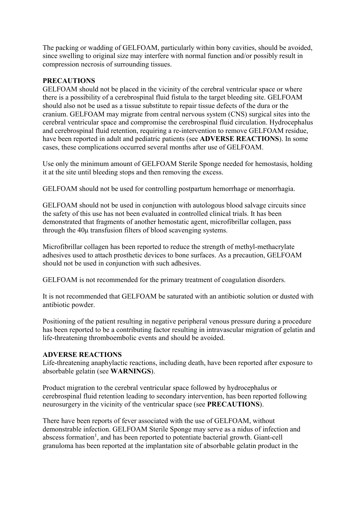The packing or wadding of GELFOAM, particularly within bony cavities, should be avoided, since swelling to original size may interfere with normal function and/or possibly result in compression necrosis of surrounding tissues.

## **PRECAUTIONS**

GELFOAM should not be placed in the vicinity of the cerebral ventricular space or where there is a possibility of a cerebrospinal fluid fistula to the target bleeding site. GELFOAM should also not be used as a tissue substitute to repair tissue defects of the dura or the cranium. GELFOAM may migrate from central nervous system (CNS) surgical sites into the cerebral ventricular space and compromise the cerebrospinal fluid circulation. Hydrocephalus and cerebrospinal fluid retention, requiring a re-intervention to remove GELFOAM residue, have been reported in adult and pediatric patients (see **ADVERSE REACTIONS**). In some cases, these complications occurred several months after use of GELFOAM.

Use only the minimum amount of GELFOAM Sterile Sponge needed for hemostasis, holding it at the site until bleeding stops and then removing the excess.

GELFOAM should not be used for controlling postpartum hemorrhage or menorrhagia.

GELFOAM should not be used in conjunction with autologous blood salvage circuits since the safety of this use has not been evaluated in controlled clinical trials. It has been demonstrated that fragments of another hemostatic agent, microfibrillar collagen, pass through the 40μ transfusion filters of blood scavenging systems.

Microfibrillar collagen has been reported to reduce the strength of methyl-methacrylate adhesives used to attach prosthetic devices to bone surfaces. As a precaution, GELFOAM should not be used in conjunction with such adhesives.

GELFOAM is not recommended for the primary treatment of coagulation disorders.

It is not recommended that GELFOAM be saturated with an antibiotic solution or dusted with antibiotic powder.

Positioning of the patient resulting in negative peripheral venous pressure during a procedure has been reported to be a contributing factor resulting in intravascular migration of gelatin and life-threatening thromboembolic events and should be avoided.

### **ADVERSE REACTIONS**

Life-threatening anaphylactic reactions, including death, have been reported after exposure to absorbable gelatin (see **WARNINGS**).

Product migration to the cerebral ventricular space followed by hydrocephalus or cerebrospinal fluid retention leading to secondary intervention, has been reported following neurosurgery in the vicinity of the ventricular space (see **PRECAUTIONS**).

There have been reports of fever associated with the use of GELFOAM, without demonstrable infection. GELFOAM Sterile Sponge may serve as a nidus of infection and abscess formation<sup>1</sup>, and has been reported to potentiate bacterial growth. Giant-cell granuloma has been reported at the implantation site of absorbable gelatin product in the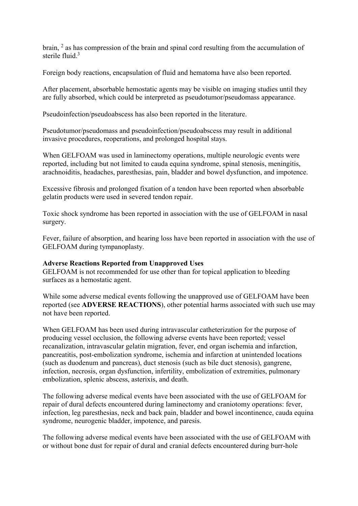brain, 2 as has compression of the brain and spinal cord resulting from the accumulation of sterile fluid $3$ 

Foreign body reactions, encapsulation of fluid and hematoma have also been reported.

After placement, absorbable hemostatic agents may be visible on imaging studies until they are fully absorbed, which could be interpreted as pseudotumor/pseudomass appearance.

Pseudoinfection/pseudoabscess has also been reported in the literature.

Pseudotumor/pseudomass and pseudoinfection/pseudoabscess may result in additional invasive procedures, reoperations, and prolonged hospital stays.

When GELFOAM was used in laminectomy operations, multiple neurologic events were reported, including but not limited to cauda equina syndrome, spinal stenosis, meningitis, arachnoiditis, headaches, paresthesias, pain, bladder and bowel dysfunction, and impotence.

Excessive fibrosis and prolonged fixation of a tendon have been reported when absorbable gelatin products were used in severed tendon repair.

Toxic shock syndrome has been reported in association with the use of GELFOAM in nasal surgery.

Fever, failure of absorption, and hearing loss have been reported in association with the use of GELFOAM during tympanoplasty.

#### **Adverse Reactions Reported from Unapproved Uses**

GELFOAM is not recommended for use other than for topical application to bleeding surfaces as a hemostatic agent.

While some adverse medical events following the unapproved use of GELFOAM have been reported (see **ADVERSE REACTIONS**), other potential harms associated with such use may not have been reported.

When GELFOAM has been used during intravascular catheterization for the purpose of producing vessel occlusion, the following adverse events have been reported; vessel recanalization, intravascular gelatin migration, fever, end organ ischemia and infarction, pancreatitis, post-embolization syndrome, ischemia and infarction at unintended locations (such as duodenum and pancreas), duct stenosis (such as bile duct stenosis), gangrene, infection, necrosis, organ dysfunction, infertility, embolization of extremities, pulmonary embolization, splenic abscess, asterixis, and death.

The following adverse medical events have been associated with the use of GELFOAM for repair of dural defects encountered during laminectomy and craniotomy operations: fever, infection, leg paresthesias, neck and back pain, bladder and bowel incontinence, cauda equina syndrome, neurogenic bladder, impotence, and paresis.

The following adverse medical events have been associated with the use of GELFOAM with or without bone dust for repair of dural and cranial defects encountered during burr-hole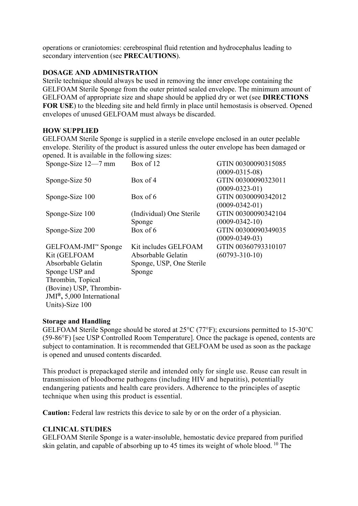operations or craniotomies: cerebrospinal fluid retention and hydrocephalus leading to secondary intervention (see **PRECAUTIONS**).

### **DOSAGE AND ADMINISTRATION**

Sterile technique should always be used in removing the inner envelope containing the GELFOAM Sterile Sponge from the outer printed sealed envelope. The minimum amount of GELFOAM of appropriate size and shape should be applied dry or wet (see **DIRECTIONS FOR USE**) to the bleeding site and held firmly in place until hemostasis is observed. Opened envelopes of unused GELFOAM must always be discarded.

#### **HOW SUPPLIED**

GELFOAM Sterile Sponge is supplied in a sterile envelope enclosed in an outer peelable envelope. Sterility of the product is assured unless the outer envelope has been damaged or opened. It is available in the following sizes:

| Sponge-Size $12-7$ mm                  | Box of 12                | GTIN 00300090315085  |
|----------------------------------------|--------------------------|----------------------|
|                                        |                          | $(0009 - 0315 - 08)$ |
| Sponge-Size 50                         | Box of $4$               | GTIN 00300090323011  |
|                                        |                          | $(0009 - 0323 - 01)$ |
| Sponge-Size 100                        | Box of 6                 | GTIN 00300090342012  |
|                                        |                          | $(0009 - 0342 - 01)$ |
| Sponge-Size 100                        | (Individual) One Sterile | GTIN 00300090342104  |
|                                        | Sponge                   | $(0009 - 0342 - 10)$ |
| Sponge-Size 200                        | Box of 6                 | GTIN 00300090349035  |
|                                        |                          | $(0009 - 0349 - 03)$ |
| GELFOAM-JMI™ Sponge                    | Kit includes GELFOAM     | GTIN 00360793310107  |
| Kit (GELFOAM                           | Absorbable Gelatin       | $(60793 - 310 - 10)$ |
| Absorbable Gelatin                     | Sponge, USP, One Sterile |                      |
| Sponge USP and                         | Sponge                   |                      |
| Thrombin, Topical                      |                          |                      |
| (Bovine) USP, Thrombin-                |                          |                      |
| JMI <sup>®</sup> , 5,000 International |                          |                      |
| Units)-Size 100                        |                          |                      |

#### **Storage and Handling**

GELFOAM Sterile Sponge should be stored at 25°C (77°F); excursions permitted to 15-30°C (59-86°F) [see USP Controlled Room Temperature]. Once the package is opened, contents are subject to contamination. It is recommended that GELFOAM be used as soon as the package is opened and unused contents discarded.

This product is prepackaged sterile and intended only for single use. Reuse can result in transmission of bloodborne pathogens (including HIV and hepatitis), potentially endangering patients and health care providers. Adherence to the principles of aseptic technique when using this product is essential.

**Caution:** Federal law restricts this device to sale by or on the order of a physician.

### **CLINICAL STUDIES**

GELFOAM Sterile Sponge is a water-insoluble, hemostatic device prepared from purified skin gelatin, and capable of absorbing up to 45 times its weight of whole blood. <sup>10</sup> The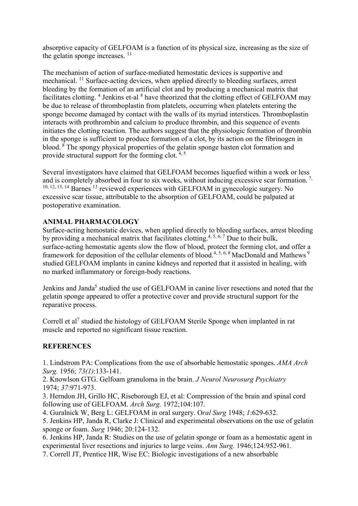absorptive capacity of GELFOAM is a function of its physical size, increasing as the size of the gelatin sponge increases.  $11$ 

The mechanism of action of surface-mediated hemostatic devices is supportive and mechanical. <sup>11</sup> Surface-acting devices, when applied directly to bleeding surfaces, arrest bleeding by the formation of an artificial clot and by producing a mechanical matrix that facilitates clotting. <sup>4</sup> Jenkins et-al <sup>8</sup> have theorized that the clotting effect of GELFOAM may be due to release of thromboplastin from platelets, occurring when platelets entering the sponge become damaged by contact with the walls of its myriad interstices. Thromboplastin interacts with prothrombin and calcium to produce thrombin, and this sequence of events initiates the clotting reaction. The authors suggest that the physiologic formation of thrombin in the sponge is sufficient to produce formation of a clot, by its action on the fibrinogen in blood. <sup>8</sup> The spongy physical properties of the gelatin sponge hasten clot formation and provide structural support for the forming clot. 4, <sup>5</sup>

Several investigators have claimed that GELFOAM becomes liquefied within a week or less and is completely absorbed in four to six weeks, without inducing excessive scar formation.<sup>7,</sup> 10, 12, 13, <sup>14</sup> Barnes <sup>13</sup> reviewed experiences with GELFOAM in gynecologic surgery. No excessive scar tissue, attributable to the absorption of GELFOAM, could be palpated at postoperative examination.

### **ANIMAL PHARMACOLOGY**

Surface-acting hemostatic devices, when applied directly to bleeding surfaces, arrest bleeding by providing a mechanical matrix that facilitates clotting.<sup>4, 5, 6, 7</sup> Due to their bulk,  $\frac{1}{2}$  surface-acting hemostatic agents slow the flow of blood, protect the forming clot, and offer a framework for deposition of the cellular elements of blood.<sup>4, 5, 6, 8</sup> MacDonald and Mathews <sup>9</sup> studied GELFOAM implants in canine kidneys and reported that it assisted in healing, with no marked inflammatory or foreign-body reactions.

Jenkins and Janda<sup>5</sup> studied the use of GELFOAM in canine liver resections and noted that the gelatin sponge appeared to offer a protective cover and provide structural support for the reparative process.

Correll et al<sup>7</sup> studied the histology of GELFOAM Sterile Sponge when implanted in rat muscle and reported no significant tissue reaction.

#### **REFERENCES**

1. Lindstrom PA: Complications from the use of absorbable hemostatic sponges. *AMA Arch Surg.* 1956; *73(1)*:133-141.

2. Knowlson GTG. Gelfoam granuloma in the brain. *J Neurol Neurosurg Psychiatry* 1974; *37*:971-973.

3. Herndon JH, Grillo HC, Riseborough EJ, et al: Compression of the brain and spinal cord following use of GELFOAM. *Arch Surg.* 1972;104:107.

4. Guralnick W, Berg L: GELFOAM in oral surgery. O*ral Surg* 1948; *1*:629-632.

5. Jenkins HP, Janda R, Clarke J: Clinical and experimental observations on the use of gelatin sponge or foam. *Surg* 1946; 20:124-132.

6. Jenkins HP, Janda R: Studies on the use of gelatin sponge or foam as a hemostatic agent in experimental liver resections and injuries to large veins. *Ann Surg.* 1946;124:952-961.

7. Correll JT, Prentice HR, Wise EC: Biologic investigations of a new absorbable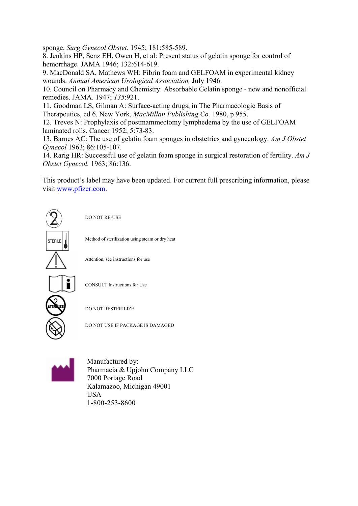sponge. *Surg Gynecol Obstet.* 1945; 181:585-589.

8. Jenkins HP, Senz EH, Owen H, et al: Present status of gelatin sponge for control of hemorrhage. JAMA 1946; 132:614-619.

9. MacDonald SA, Mathews WH: Fibrin foam and GELFOAM in experimental kidney wounds. *Annual American Urological Association,* July 1946.

10. Council on Pharmacy and Chemistry: Absorbable Gelatin sponge - new and nonofficial remedies. JAMA. 1947; *135*:921.

11. Goodman LS, Gilman A: Surface-acting drugs, in The Pharmacologic Basis of Therapeutics, ed 6. New York, *MacMillan Publishing Co.* 1980, p 955.

12. Treves N: Prophylaxis of postmammectomy lymphedema by the use of GELFOAM laminated rolls. Cancer 1952; 5:73-83.

13. Barnes AC: The use of gelatin foam sponges in obstetrics and gynecology. *Am J Obstet Gynecol* 1963; 86:105-107.

14. Rarig HR: Successful use of gelatin foam sponge in surgical restoration of fertility. *Am J Obstet Gynecol.* 1963; 86:136.

This product's label may have been updated. For current full prescribing information, please visit [www.pfizer.com](http://www.pfizer.com/).





Manufactured by: Pharmacia & Upjohn Company LLC 7000 Portage Road Kalamazoo, Michigan 49001 USA 1-800-253-8600